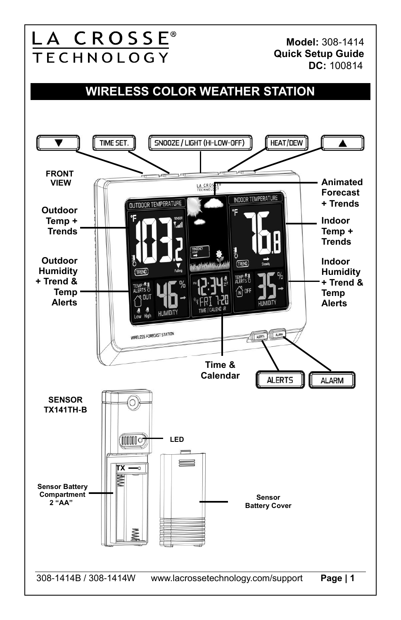**DC:** 100814

**Model:** 308-1414 **Quick Setup Guide**

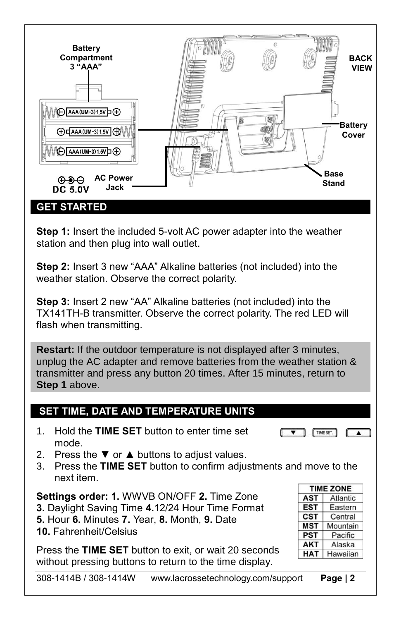

**Step 1:** Insert the included 5-volt AC power adapter into the weather station and then plug into wall outlet.

**Step 2:** Insert 3 new "AAA" Alkaline batteries (not included) into the weather station. Observe the correct polarity.

**Step 3:** Insert 2 new "AA" Alkaline batteries (not included) into the TX141TH-B transmitter. Observe the correct polarity. The red LED will flash when transmitting.

**Restart:** If the outdoor temperature is not displayed after 3 minutes, unplug the AC adapter and remove batteries from the weather station & transmitter and press any button 20 times. After 15 minutes, return to **Step 1** above.

### **SET TIME, DATE AND TEMPERATURE UNITS**

- 1. Hold the **TIME SET** button to enter time set mode.
- 2. Press the  $\blacktriangledown$  or  $\blacktriangle$  buttons to adjust values.
- 3. Press the **TIME SET** button to confirm adjustments and move to the next item.

**Settings order: 1.** WWVB ON/OFF **2.** Time Zone **3.** Daylight Saving Time **4.**12/24 Hour Time Format **5.** Hour **6.** Minutes **7.** Year, **8.** Month, **9.** Date **10.** Fahrenheit/Celsius

Press the **TIME SET** button to exit, or wait 20 seconds without pressing buttons to return to the time display.

| <b>TIME ZONE</b> |          |
|------------------|----------|
| <b>AST</b>       | Atlantic |
| <b>EST</b>       | Eastern  |
| <b>CST</b>       | Central  |
| <b>MST</b>       | Mountain |
| <b>PST</b>       | Pacific  |
| <b>AKT</b>       | Alaska   |
| <b>HAT</b>       | Hawaiian |

TIME SET.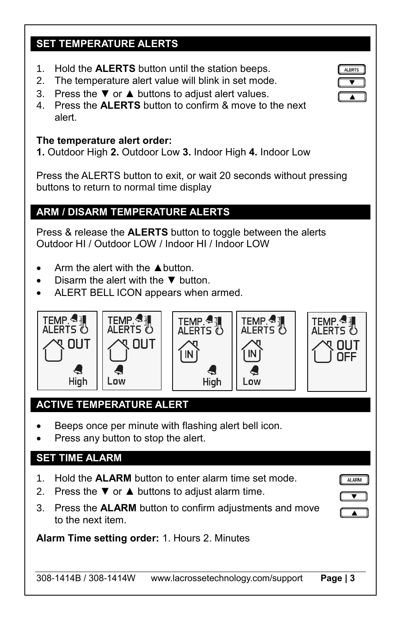# **SET TEMPERATURE ALERTS**

- 1. Hold the **ALERTS** button until the station beeps.
- 2. The temperature alert value will blink in set mode.
- 3. Press the  $\Psi$  or  $\blacktriangle$  buttons to adjust alert values.
- 4. Press the **ALERTS** button to confirm & move to the next alert.

#### **The temperature alert order:**

**1.** Outdoor High **2.** Outdoor Low **3.** Indoor High **4.** Indoor Low

Press the ALERTS button to exit, or wait 20 seconds without pressing buttons to return to normal time display

# **ARM / DISARM TEMPERATURE ALERTS**

Press & release the **ALERTS** button to toggle between the alerts Outdoor HI / Outdoor LOW / Indoor HI / Indoor LOW

- Arm the alert with the ▲button.
- Disarm the alert with the  $\Psi$  button.
- ALERT BELL ICON appears when armed.









**ALARM** 

# **ACTIVE TEMPERATURE ALERT**

- Beeps once per minute with flashing alert bell icon.
- Press any button to stop the alert.

#### **SET TIME ALARM**

- 1. Hold the **ALARM** button to enter alarm time set mode.
- 2. Press the  $\Psi$  or  $\blacktriangle$  buttons to adjust alarm time.
- 3. Press the **ALARM** button to confirm adjustments and move to the next item.

**Alarm Time setting order:** 1. Hours 2. Minutes

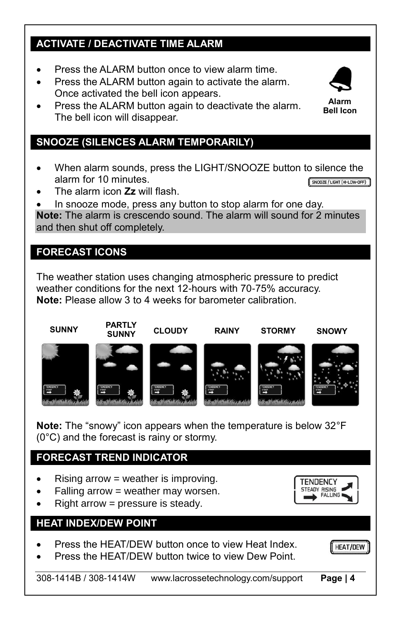# **ACTIVATE / DEACTIVATE TIME ALARM**

- Press the ALARM button once to view alarm time.
- Press the ALARM button again to activate the alarm. Once activated the bell icon appears.
- Press the ALARM button again to deactivate the alarm. The bell icon will disappear.

# **SNOOZE (SILENCES ALARM TEMPORARILY)**

- When alarm sounds, press the LIGHT/SNOOZE button to silence the alarm for 10 minutes. SNOOZE / LIGHT (HI-LOW-OFF)
- The alarm icon **Zz** will flash.
- In snooze mode, press any button to stop alarm for one day.

**Note:** The alarm is crescendo sound. The alarm will sound for 2 minutes and then shut off completely.

### **FORECAST ICONS**

The weather station uses changing atmospheric pressure to predict weather conditions for the next 12-hours with 70-75% accuracy. **Note:** Please allow 3 to 4 weeks for barometer calibration.

# **SUNNY PARTLY**











TENDENCY **TEADY RISING** 

**Note:** The "snowy" icon appears when the temperature is below 32°F (0°C) and the forecast is rainy or stormy.

### **FORECAST TREND INDICATOR**

- Rising arrow = weather is improving.
- Falling arrow = weather may worsen.
- Right arrow = pressure is steady.

#### **HEAT INDEX/DEW POINT**

- Press the HEAT/DEW button once to view Heat Index.
- Press the HEAT/DEW button twice to view Dew Point.



308-1414B / 308-1414W www.lacrossetechnology.com/support **Page | 4**



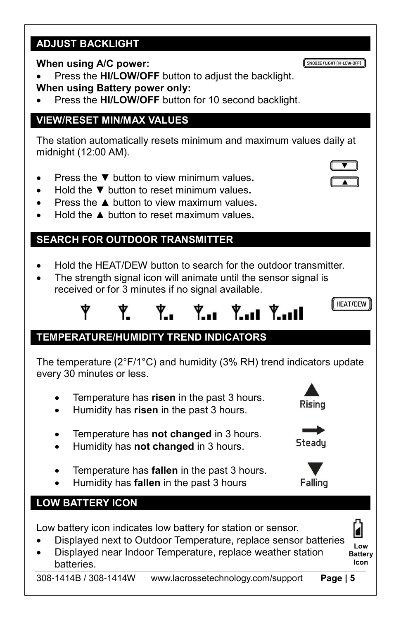#### **ADJUST BACKLIGHT**

#### **When using A/C power:**

 Press the **HI/LOW/OFF** button to adjust the backlight. **When using Battery power only:** 

Press the **HI/LOW/OFF** button for 10 second backlight.

#### **VIEW/RESET MIN/MAX VALUES**

The station automatically resets minimum and maximum values daily at midnight (12:00 AM).

- Press the ▼ button to view minimum values**.**
- Hold the ▼ button to reset minimum values**.**
- Press the ▲ button to view maximum values**.**
- Hold the ▲ button to reset maximum values**.**

### **SEARCH FOR OUTDOOR TRANSMITTER**

- Hold the HEAT/DEW button to search for the outdoor transmitter.
- The strength signal icon will animate until the sensor signal is received or for 3 minutes if no signal available.

$$
\mathbf{Y} \qquad \mathbf{Y} \qquad \mathbf{Y}_{\bullet} \qquad \mathbf{Y}_{\bullet} \mathbf{I} \qquad \mathbf{Y}_{\bullet} \mathbf{I} \mathbf{I} \qquad \mathbf{Y}_{\bullet}
$$

### **TEMPERATURE/HUMIDITY TREND INDICATORS**

The temperature (2°F/1°C) and humidity (3% RH) trend indicators update every 30 minutes or less.

- Temperature has **risen** in the past 3 hours.
- Humidity has **risen** in the past 3 hours.
- Temperature has **not changed** in 3 hours.
- Humidity has **not changed** in 3 hours.
- Temperature has **fallen** in the past 3 hours.
- Humidity has **fallen** in the past 3 hours

#### **LOW BATTERY ICON**

Low battery icon indicates low battery for station or sensor.

- Displayed next to Outdoor Temperature, replace sensor batteries
- Displayed near Indoor Temperature, replace weather station batteries.

**Icon**

**Low Battery**













**HEAT/DEW**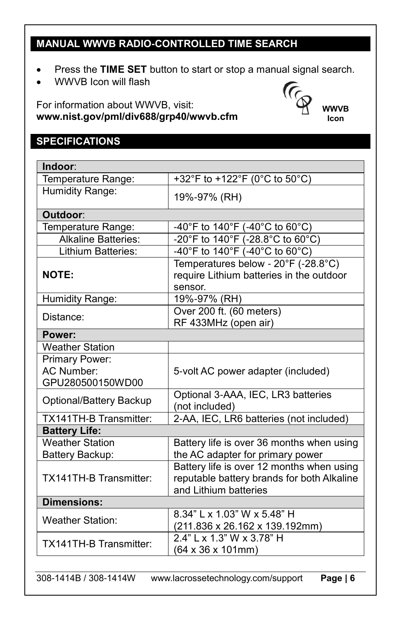# **MANUAL WWVB RADIO-CONTROLLED TIME SEARCH**

Press the **TIME SET** button to start or stop a manual signal search.

**WWVB Icon**

 $(\epsilon$ 

WWVB Icon will flash

For information about WWVB, visit: **www.nist.gov/pml/div688/grp40/wwvb.cfm** 

# **SPECIFICATIONS**

| Indoor:                                          |                                                                                                                  |  |
|--------------------------------------------------|------------------------------------------------------------------------------------------------------------------|--|
| Temperature Range:                               | +32°F to +122°F (0°C to 50°C)                                                                                    |  |
| Humidity Range:                                  | 19%-97% (RH)                                                                                                     |  |
| Outdoor:                                         |                                                                                                                  |  |
| Temperature Range:                               | -40°F to 140°F (-40°C to 60°C)                                                                                   |  |
| <b>Alkaline Batteries:</b>                       | -20°F to 140°F (-28.8°C to 60°C)                                                                                 |  |
| Lithium Batteries:                               | -40°F to 140°F (-40°C to 60°C)                                                                                   |  |
| <b>NOTE:</b>                                     | Temperatures below - 20°F (-28.8°C)<br>require Lithium batteries in the outdoor<br>sensor.                       |  |
| Humidity Range:                                  | 19%-97% (RH)                                                                                                     |  |
| Distance:                                        | Over 200 ft. (60 meters)<br>RF 433MHz (open air)                                                                 |  |
| Power:                                           |                                                                                                                  |  |
| <b>Weather Station</b>                           |                                                                                                                  |  |
| Primary Power:<br>AC Number:<br>GPU280500150WD00 | 5-volt AC power adapter (included)                                                                               |  |
| Optional/Battery Backup                          | Optional 3-AAA, IEC, LR3 batteries<br>(not included)                                                             |  |
| TX141TH-B Transmitter:                           | 2-AA, IEC, LR6 batteries (not included)                                                                          |  |
| <b>Battery Life:</b>                             |                                                                                                                  |  |
| <b>Weather Station</b><br>Battery Backup:        | Battery life is over 36 months when using<br>the AC adapter for primary power                                    |  |
| <b>TX141TH-B Transmitter:</b>                    | Battery life is over 12 months when using<br>reputable battery brands for both Alkaline<br>and Lithium batteries |  |
| <b>Dimensions:</b>                               |                                                                                                                  |  |
| <b>Weather Station:</b>                          | 8.34" L x 1.03" W x 5.48" H<br>(211.836 x 26.162 x 139.192mm)                                                    |  |
| <b>TX141TH-B Transmitter:</b>                    | 2.4" L x 1.3" W x 3.78" H<br>(64 x 36 x 101mm)                                                                   |  |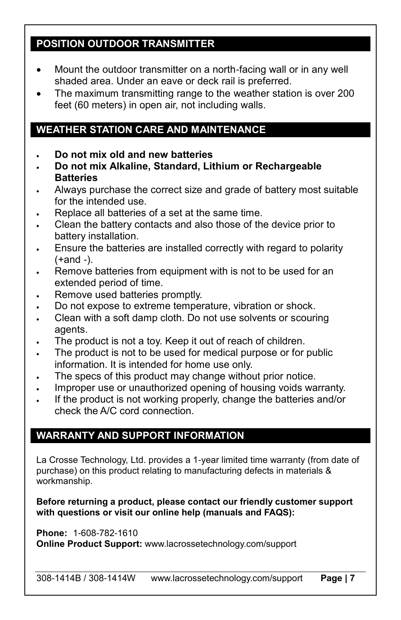#### **POSITION OUTDOOR TRANSMITTER**

- Mount the outdoor transmitter on a north-facing wall or in any well shaded area. Under an eave or deck rail is preferred.
- The maximum transmitting range to the weather station is over 200 feet (60 meters) in open air, not including walls.

# **WEATHER STATION CARE AND MAINTENANCE**

- **Do not mix old and new batteries**
- **Do not mix Alkaline, Standard, Lithium or Rechargeable Batteries**
- Always purchase the correct size and grade of battery most suitable for the intended use.
- Replace all batteries of a set at the same time.
- Clean the battery contacts and also those of the device prior to battery installation.
- Ensure the batteries are installed correctly with regard to polarity (+and -).
- Remove batteries from equipment with is not to be used for an extended period of time.
- Remove used batteries promptly.
- Do not expose to extreme temperature, vibration or shock.
- Clean with a soft damp cloth. Do not use solvents or scouring agents.
- The product is not a toy. Keep it out of reach of children.
- The product is not to be used for medical purpose or for public information. It is intended for home use only.
- The specs of this product may change without prior notice.
- Improper use or unauthorized opening of housing voids warranty.
- If the product is not working properly, change the batteries and/or check the A/C cord connection.

# **WARRANTY AND SUPPORT INFORMATION**

La Crosse Technology, Ltd. provides a 1-year limited time warranty (from date of purchase) on this product relating to manufacturing defects in materials & workmanship.

**Before returning a product, please contact our friendly customer support with questions or visit our online help (manuals and FAQS):**

**Phone:** 1-608-782-1610 **Online Product Support:** www.lacrossetechnology.com/support